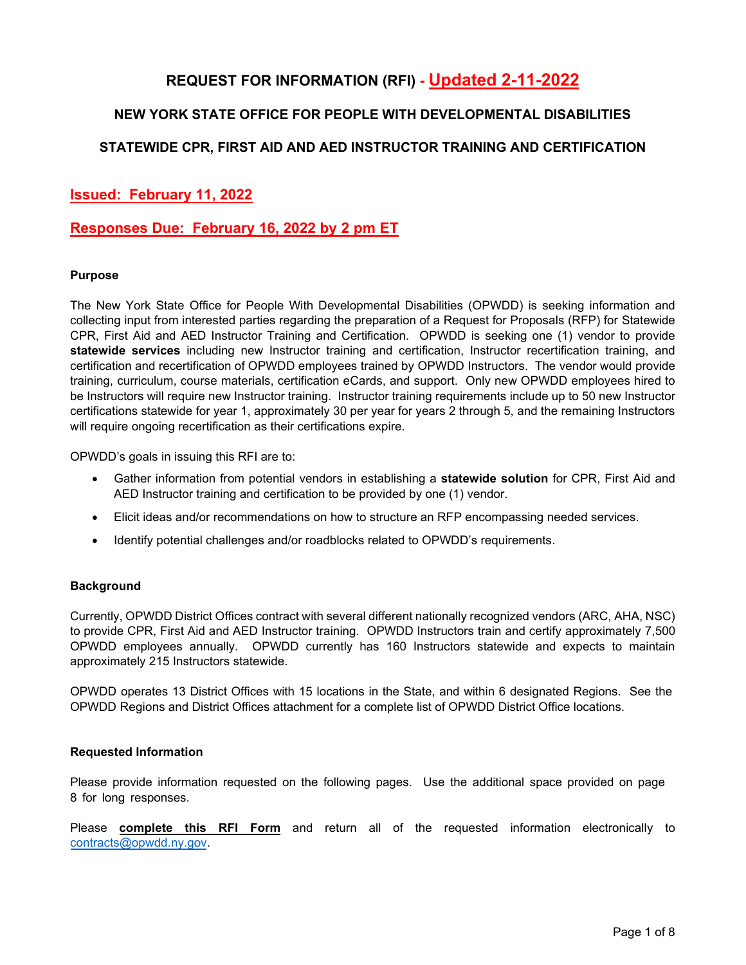# **REQUEST FOR INFORMATION (RFI) - Updated 2-11-2022**

## **NEW YORK STATE OFFICE FOR PEOPLE WITH DEVELOPMENTAL DISABILITIES**

### **STATEWIDE CPR, FIRST AID AND AED INSTRUCTOR TRAINING AND CERTIFICATION**

## **Issued: February 11, 2022**

### **Responses Due: February 16, 2022 by 2 pm ET**

#### **Purpose**

The New York State Office for People With Developmental Disabilities (OPWDD) is seeking information and collecting input from interested parties regarding the preparation of a Request for Proposals (RFP) for Statewide CPR, First Aid and AED Instructor Training and Certification. OPWDD is seeking one (1) vendor to provide **statewide services** including new Instructor training and certification, Instructor recertification training, and certification and recertification of OPWDD employees trained by OPWDD Instructors. The vendor would provide training, curriculum, course materials, certification eCards, and support. Only new OPWDD employees hired to be Instructors will require new Instructor training. Instructor training requirements include up to 50 new Instructor certifications statewide for year 1, approximately 30 per year for years 2 through 5, and the remaining Instructors will require ongoing recertification as their certifications expire.

OPWDD's goals in issuing this RFI are to:

- Gather information from potential vendors in establishing a **statewide solution** for CPR, First Aid and AED Instructor training and certification to be provided by one (1) vendor.
- Elicit ideas and/or recommendations on how to structure an RFP encompassing needed services.
- Identify potential challenges and/or roadblocks related to OPWDD's requirements.

#### **Background**

Currently, OPWDD District Offices contract with several different nationally recognized vendors (ARC, AHA, NSC) to provide CPR, First Aid and AED Instructor training. OPWDD Instructors train and certify approximately 7,500 OPWDD employees annually. OPWDD currently has 160 Instructors statewide and expects to maintain approximately 215 Instructors statewide.

OPWDD operates 13 District Offices with 15 locations in the State, and within 6 designated Regions. See the OPWDD Regions and District Offices attachment for a complete list of OPWDD District Office locations.

#### **Requested Information**

Please provide information requested on the following pages. Use the additional space provided on page 8 for long responses.

Please **complete this RFI Form** and return all of the requested information electronically to [contracts@opwdd.ny.gov.](mailto:contracts@opwdd.ny.gov)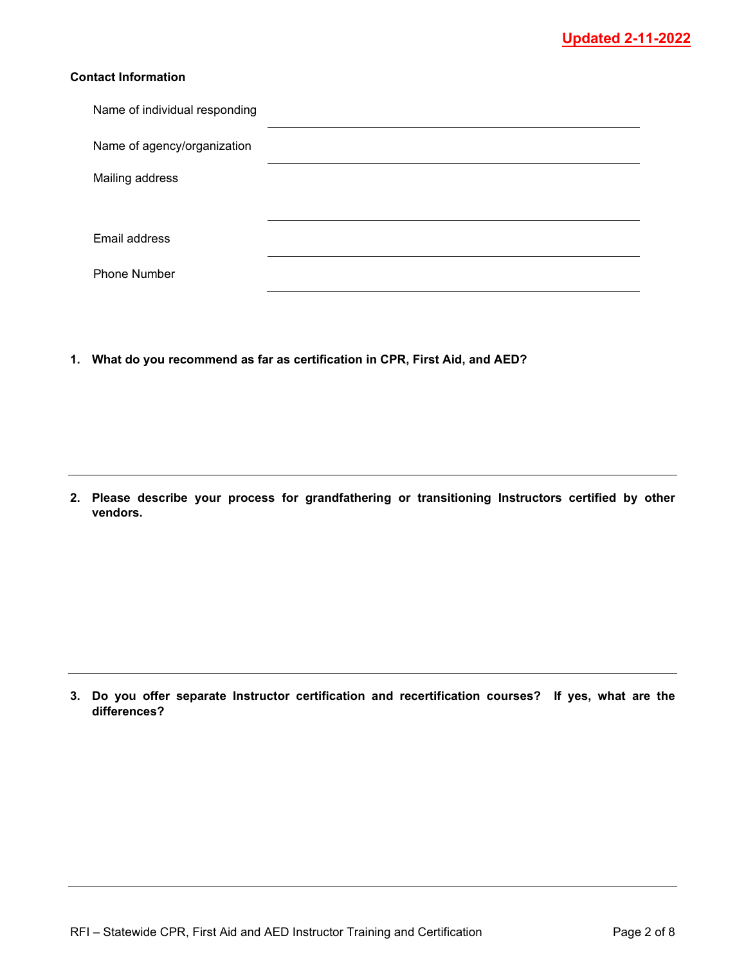### **Contact Information**

| Name of individual responding |  |
|-------------------------------|--|
| Name of agency/organization   |  |
| Mailing address               |  |
|                               |  |
| Email address                 |  |
| <b>Phone Number</b>           |  |

**1. What do you recommend as far as certification in CPR, First Aid, and AED?**

**2. Please describe your process for grandfathering or transitioning Instructors certified by other vendors.**

**3. Do you offer separate Instructor certification and recertification courses? If yes, what are the differences?**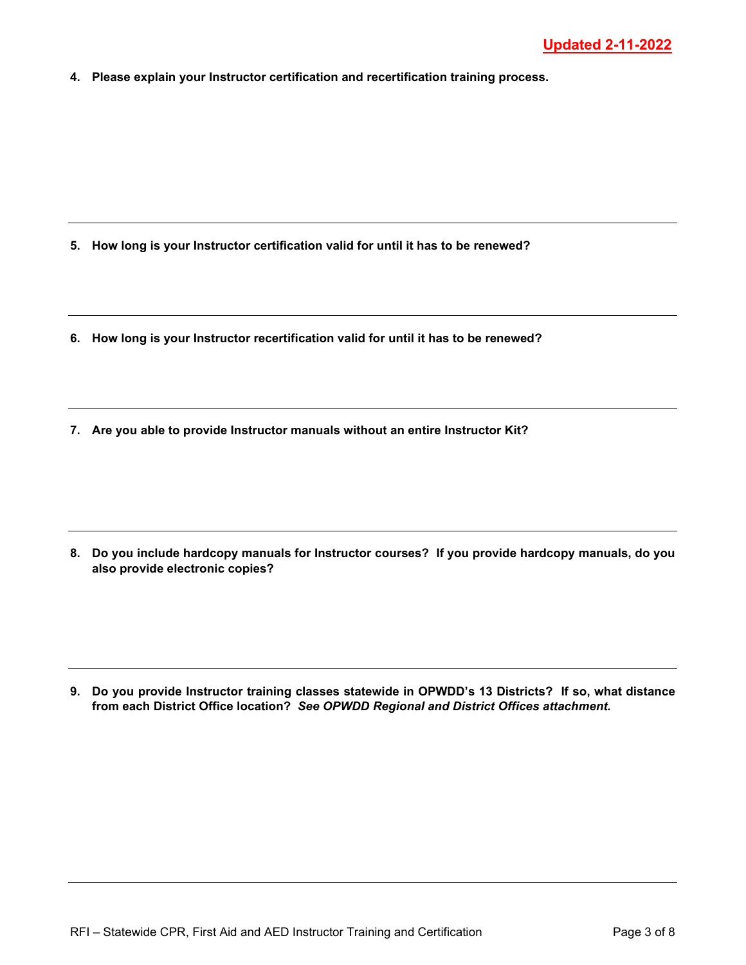**4. Please explain your Instructor certification and recertification training process.**

- **5. How long is your Instructor certification valid for until it has to be renewed?**
- **6. How long is your Instructor recertification valid for until it has to be renewed?**
- **7. Are you able to provide Instructor manuals without an entire Instructor Kit?**

**8. Do you include hardcopy manuals for Instructor courses? If you provide hardcopy manuals, do you also provide electronic copies?**

**9. Do you provide Instructor training classes statewide in OPWDD's 13 Districts? If so, what distance from each District Office location?** *See OPWDD Regional and District Offices attachment.*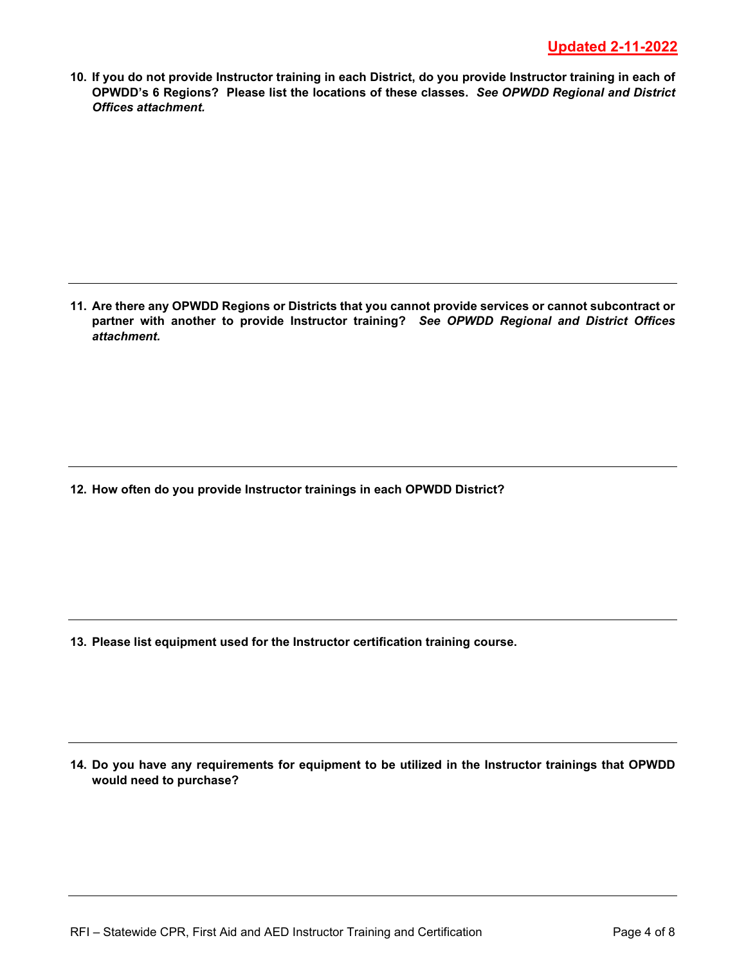**10. If you do not provide Instructor training in each District, do you provide Instructor training in each of OPWDD's 6 Regions? Please list the locations of these classes.** *See OPWDD Regional and District Offices attachment.*

**11. Are there any OPWDD Regions or Districts that you cannot provide services or cannot subcontract or partner with another to provide Instructor training?** *See OPWDD Regional and District Offices attachment.*

**12. How often do you provide Instructor trainings in each OPWDD District?**

**13. Please list equipment used for the Instructor certification training course.**

**14. Do you have any requirements for equipment to be utilized in the Instructor trainings that OPWDD would need to purchase?**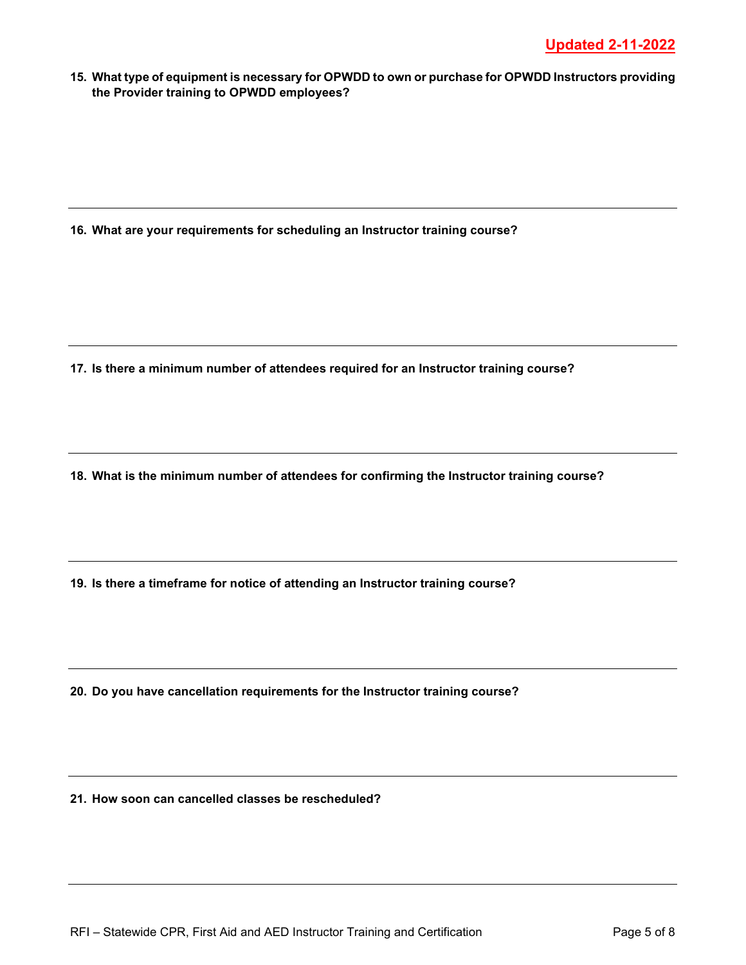**15. What type of equipment is necessary for OPWDD to own or purchase for OPWDD Instructors providing the Provider training to OPWDD employees?**

**16. What are your requirements for scheduling an Instructor training course?**

**17. Is there a minimum number of attendees required for an Instructor training course?**

**18. What is the minimum number of attendees for confirming the Instructor training course?**

**19. Is there a timeframe for notice of attending an Instructor training course?**

**20. Do you have cancellation requirements for the Instructor training course?**

**21. How soon can cancelled classes be rescheduled?**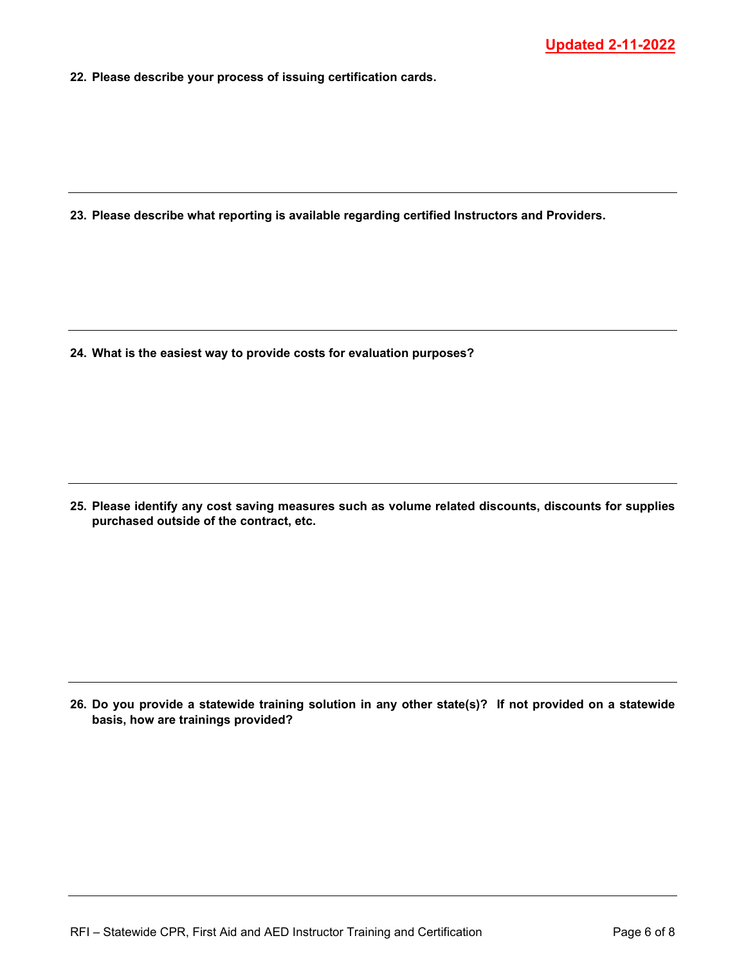**22. Please describe your process of issuing certification cards.**

**23. Please describe what reporting is available regarding certified Instructors and Providers.**

**24. What is the easiest way to provide costs for evaluation purposes?**

**25. Please identify any cost saving measures such as volume related discounts, discounts for supplies purchased outside of the contract, etc.**

**26. Do you provide a statewide training solution in any other state(s)? If not provided on a statewide basis, how are trainings provided?**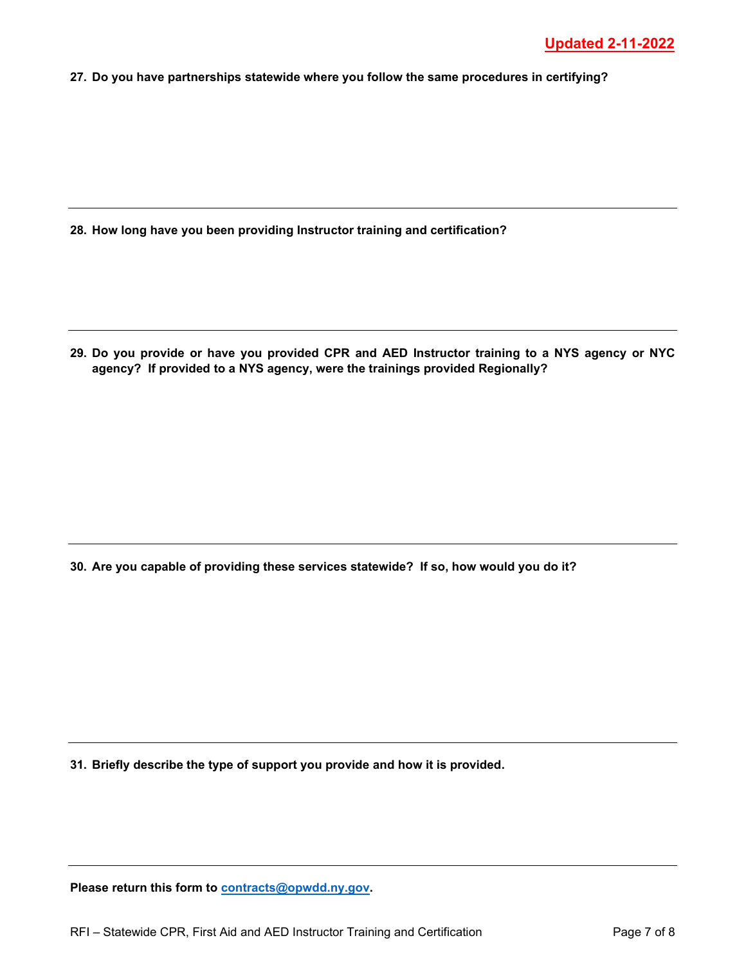**27. Do you have partnerships statewide where you follow the same procedures in certifying?**

**28. How long have you been providing Instructor training and certification?**

**29. Do you provide or have you provided CPR and AED Instructor training to a NYS agency or NYC agency? If provided to a NYS agency, were the trainings provided Regionally?**

**30. Are you capable of providing these services statewide? If so, how would you do it?**

**31. Briefly describe the type of support you provide and how it is provided.**

**Please return this form to [contracts@opwdd.ny.gov.](mailto:contracts@opwdd.ny.gov)**